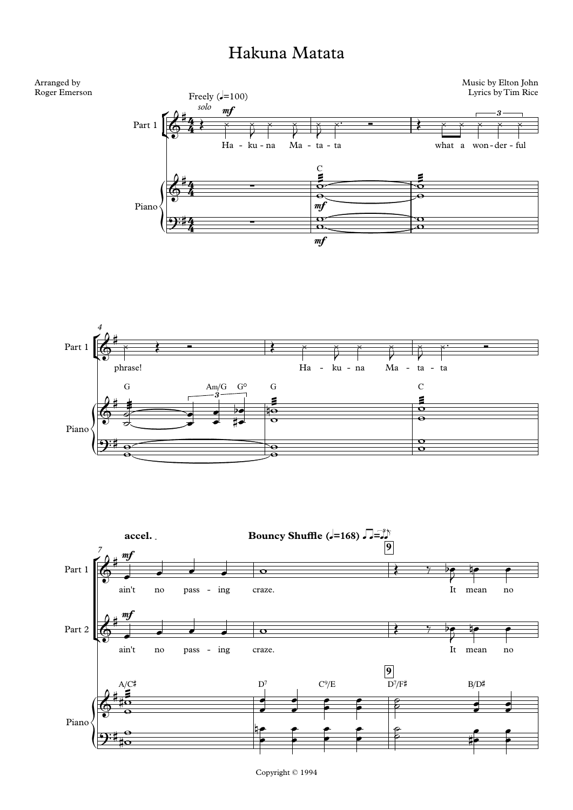## Hakuna Matata









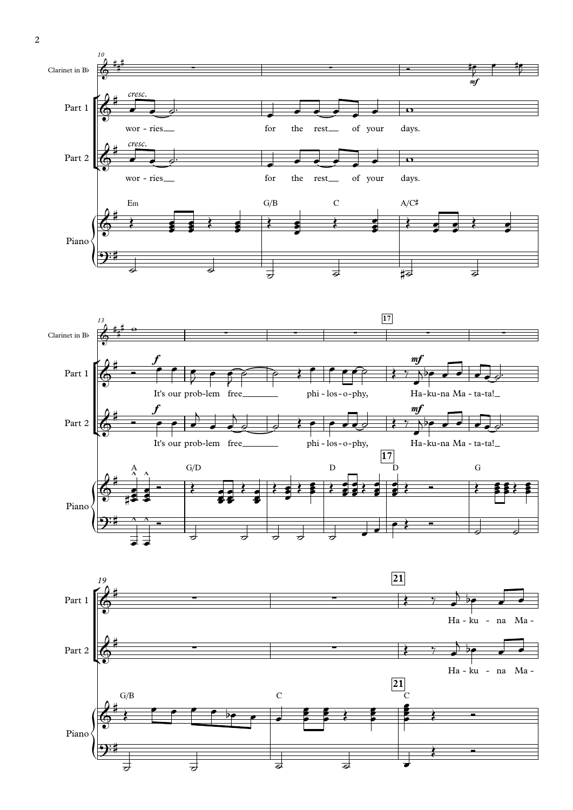



œ œ <sup>Ó</sup> ˙ ˙ ˙ ˙ ˙ <sup>œ</sup> <sup>œ</sup> <sup>œ</sup> <sup>Œ</sup> <sup>Ó</sup> ˙ ˙

Piano

 $\bigodot$  :  $\begin{array}{ccc} & \wedge & \wedge \\ \hline & & \end{array}$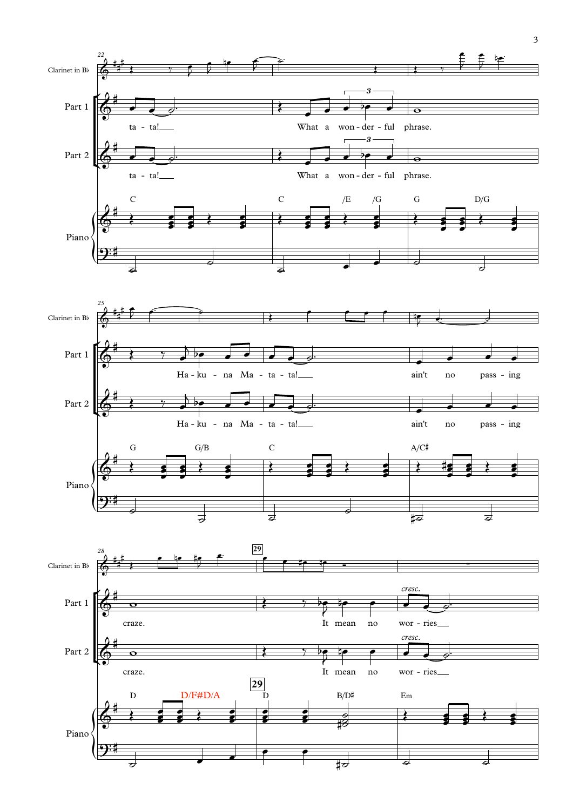



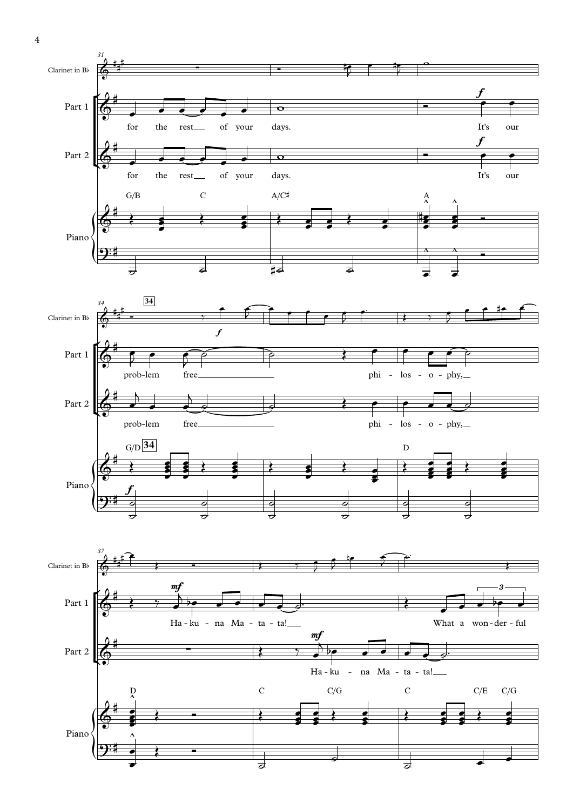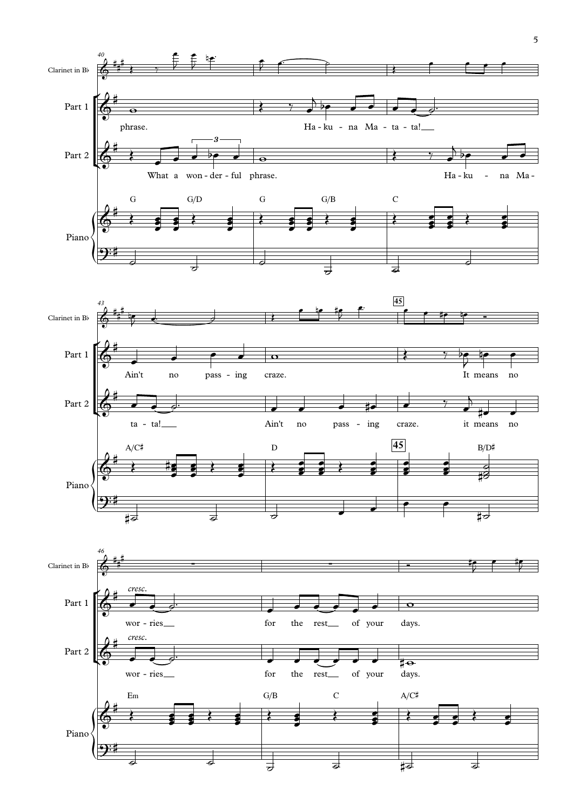



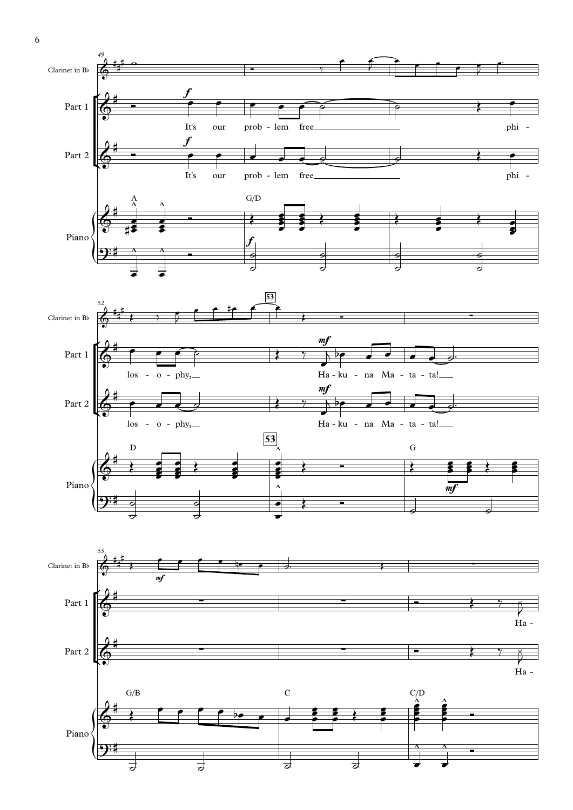

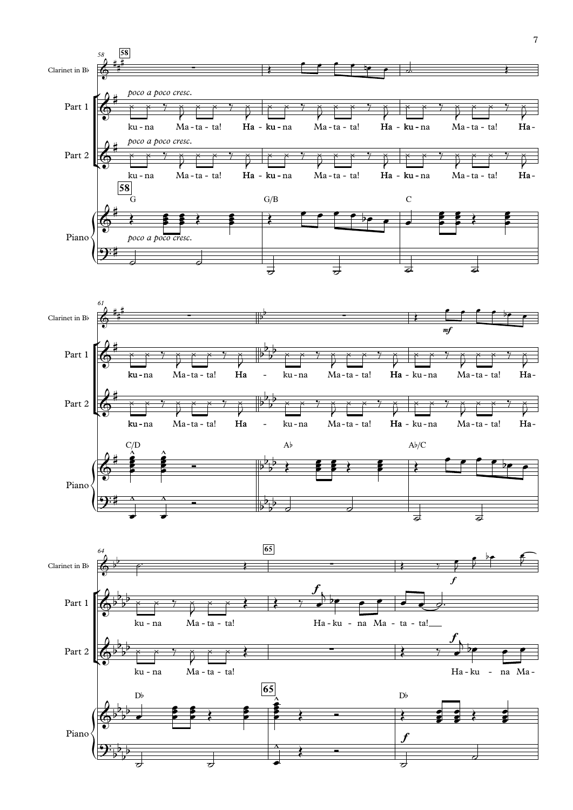



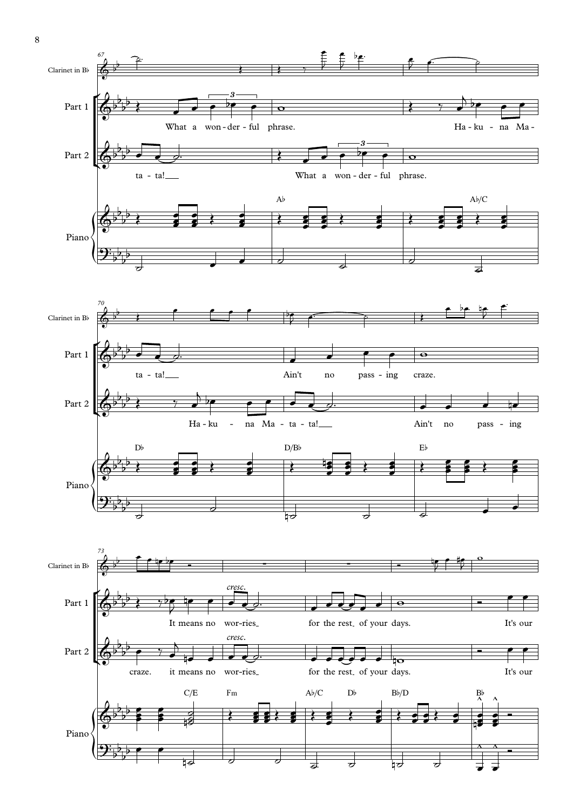

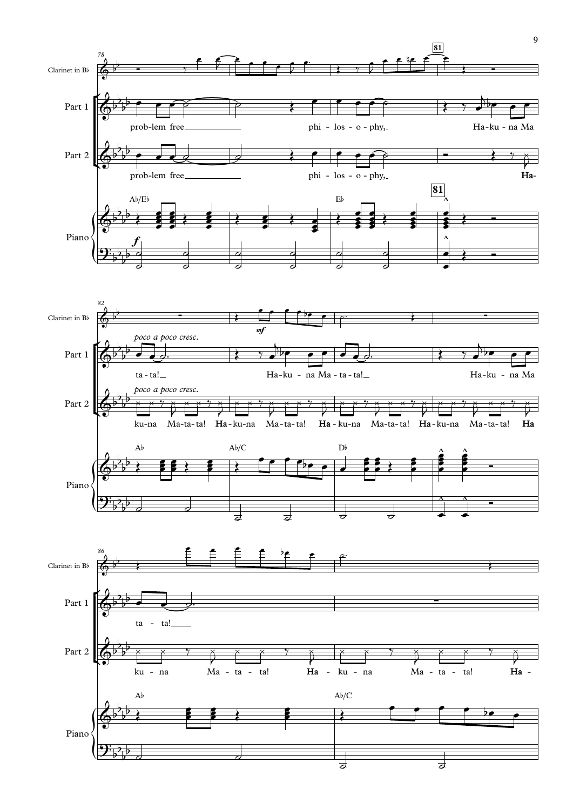

b  $\mathbf{\mathcal{Y}}^{\mathbf{:}}_{\flat}$ b b b ˙ ˙ ˙ ˙

 $\left\{\right\}$ 

Piano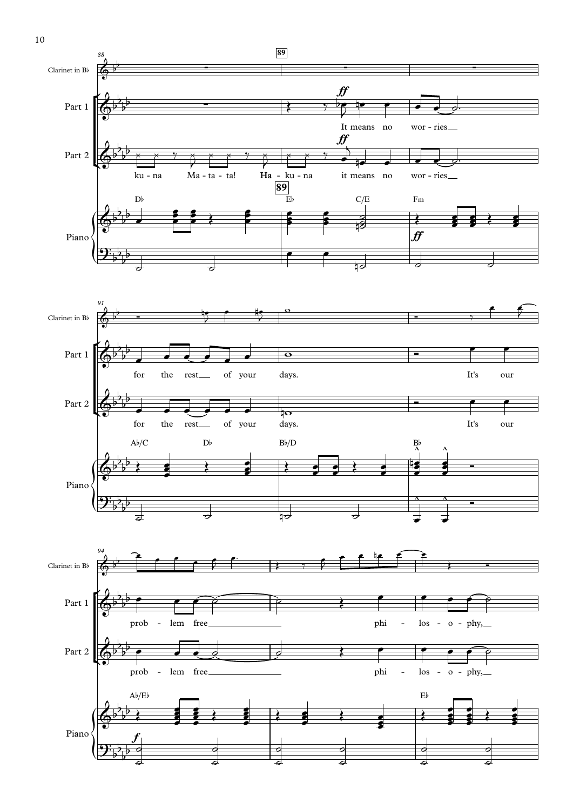